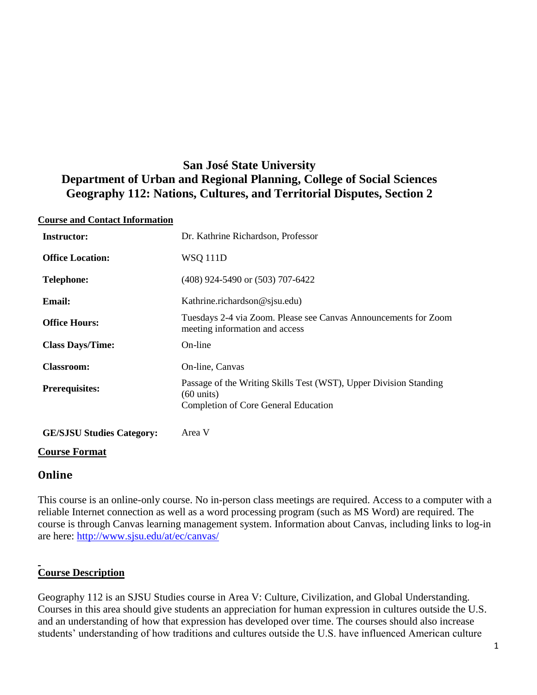# **San José State University Department of Urban and Regional Planning, College of Social Sciences Geography 112: Nations, Cultures, and Territorial Disputes, Section 2**

#### **Course and Contact Information**

| <b>Instructor:</b>               | Dr. Kathrine Richardson, Professor                                                                                                       |
|----------------------------------|------------------------------------------------------------------------------------------------------------------------------------------|
| <b>Office Location:</b>          | <b>WSQ 111D</b>                                                                                                                          |
| <b>Telephone:</b>                | (408) 924-5490 or (503) 707-6422                                                                                                         |
| <b>Email:</b>                    | Kathrine.richardson@sjsu.edu)                                                                                                            |
| <b>Office Hours:</b>             | Tuesdays 2-4 via Zoom. Please see Canvas Announcements for Zoom<br>meeting information and access                                        |
| <b>Class Days/Time:</b>          | On-line                                                                                                                                  |
| <b>Classroom:</b>                | On-line, Canvas                                                                                                                          |
| <b>Prerequisites:</b>            | Passage of the Writing Skills Test (WST), Upper Division Standing<br>$(60 \text{ units})$<br><b>Completion of Core General Education</b> |
| <b>GE/SJSU Studies Category:</b> | Area V                                                                                                                                   |

#### **Course Format**

## **Online**

This course is an online-only course. No in-person class meetings are required. Access to a computer with a reliable Internet connection as well as a word processing program (such as MS Word) are required. The course is through Canvas learning management system. Information about Canvas, including links to log-in are here:<http://www.sjsu.edu/at/ec/canvas/>

## **Course Description**

Geography 112 is an SJSU Studies course in Area V: Culture, Civilization, and Global Understanding. Courses in this area should give students an appreciation for human expression in cultures outside the U.S. and an understanding of how that expression has developed over time. The courses should also increase students' understanding of how traditions and cultures outside the U.S. have influenced American culture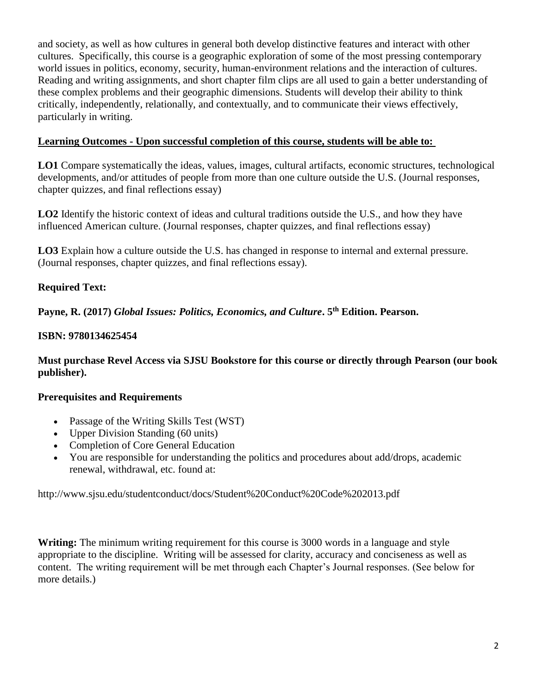and society, as well as how cultures in general both develop distinctive features and interact with other cultures. Specifically, this course is a geographic exploration of some of the most pressing contemporary world issues in politics, economy, security, human-environment relations and the interaction of cultures. Reading and writing assignments, and short chapter film clips are all used to gain a better understanding of these complex problems and their geographic dimensions. Students will develop their ability to think critically, independently, relationally, and contextually, and to communicate their views effectively, particularly in writing.

#### **Learning Outcomes - Upon successful completion of this course, students will be able to:**

**LO1** Compare systematically the ideas, values, images, cultural artifacts, economic structures, technological developments, and/or attitudes of people from more than one culture outside the U.S. (Journal responses, chapter quizzes, and final reflections essay)

**LO2** Identify the historic context of ideas and cultural traditions outside the U.S., and how they have influenced American culture. (Journal responses, chapter quizzes, and final reflections essay)

**LO3** Explain how a culture outside the U.S. has changed in response to internal and external pressure. (Journal responses, chapter quizzes, and final reflections essay).

## **Required Text:**

**Payne, R. (2017)** *Global Issues: Politics, Economics, and Culture***. 5th Edition. Pearson.** 

## **ISBN: 9780134625454**

**Must purchase Revel Access via SJSU Bookstore for this course or directly through Pearson (our book publisher).**

## **Prerequisites and Requirements**

- Passage of the Writing Skills Test (WST)
- Upper Division Standing (60 units)
- Completion of Core General Education
- You are responsible for understanding the politics and procedures about add/drops, academic renewal, withdrawal, etc. found at:

http://www.sjsu.edu/studentconduct/docs/Student%20Conduct%20Code%202013.pdf

**Writing:** The minimum writing requirement for this course is 3000 words in a language and style appropriate to the discipline. Writing will be assessed for clarity, accuracy and conciseness as well as content. The writing requirement will be met through each Chapter's Journal responses. (See below for more details.)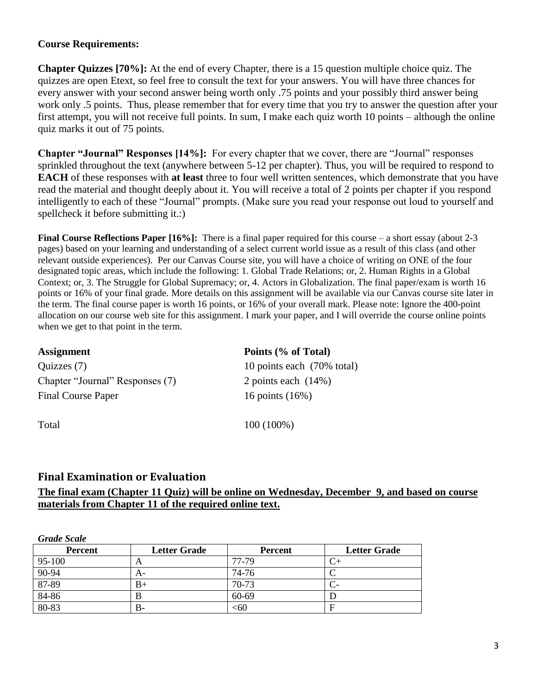#### **Course Requirements:**

**Chapter Quizzes [70%]:** At the end of every Chapter, there is a 15 question multiple choice quiz. The quizzes are open Etext, so feel free to consult the text for your answers. You will have three chances for every answer with your second answer being worth only .75 points and your possibly third answer being work only .5 points. Thus, please remember that for every time that you try to answer the question after your first attempt, you will not receive full points. In sum, I make each quiz worth 10 points – although the online quiz marks it out of 75 points.

**Chapter "Journal" Responses [14%]:** For every chapter that we cover, there are "Journal" responses sprinkled throughout the text (anywhere between 5-12 per chapter). Thus, you will be required to respond to **EACH** of these responses with **at least** three to four well written sentences, which demonstrate that you have read the material and thought deeply about it. You will receive a total of 2 points per chapter if you respond intelligently to each of these "Journal" prompts. (Make sure you read your response out loud to yourself and spellcheck it before submitting it.:)

**Final Course Reflections Paper [16%]:** There is a final paper required for this course – a short essay (about 2-3 pages) based on your learning and understanding of a select current world issue as a result of this class (and other relevant outside experiences). Per our Canvas Course site, you will have a choice of writing on ONE of the four designated topic areas, which include the following: 1. Global Trade Relations; or, 2. Human Rights in a Global Context; or, 3. The Struggle for Global Supremacy; or, 4. Actors in Globalization. The final paper/exam is worth 16 points or 16% of your final grade. More details on this assignment will be available via our Canvas course site later in the term. The final course paper is worth 16 points, or 16% of your overall mark. Please note: Ignore the 400-point allocation on our course web site for this assignment. I mark your paper, and I will override the course online points when we get to that point in the term.

| <b>Assignment</b>               | Points (% of Total)        |  |  |
|---------------------------------|----------------------------|--|--|
| Quizzes (7)                     | 10 points each (70% total) |  |  |
| Chapter "Journal" Responses (7) | 2 points each $(14%)$      |  |  |
| <b>Final Course Paper</b>       | 16 points (16%)            |  |  |
| Total                           | $100(100\%)$               |  |  |

## **Final Examination or Evaluation**

#### **The final exam (Chapter 11 Quiz) will be online on Wednesday, December 9, and based on course materials from Chapter 11 of the required online text.**

| Gruue Scuie    |                     |                |                     |
|----------------|---------------------|----------------|---------------------|
| <b>Percent</b> | <b>Letter Grade</b> | <b>Percent</b> | <b>Letter Grade</b> |
| 95-100         | A                   | 77-79          |                     |
| 90-94          | A-                  | 74-76          |                     |
| 87-89          | B+                  | 70-73          |                     |
| 84-86          | В                   | 60-69          |                     |
| 80-83          | B-                  | <60            | F                   |

*Grade Scale*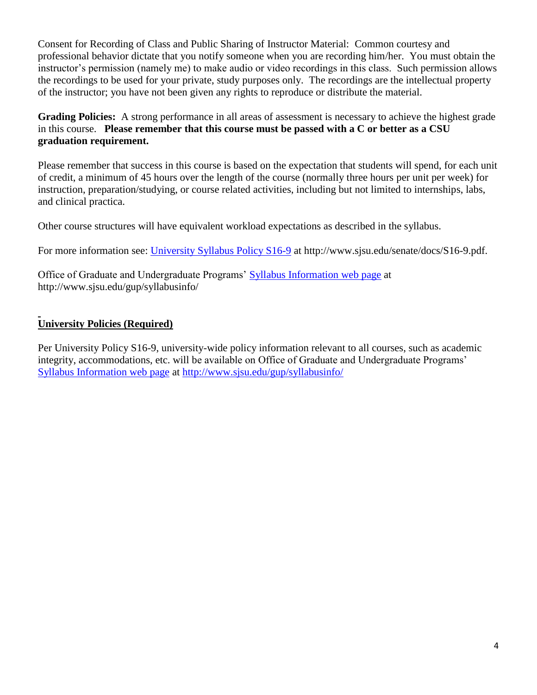Consent for Recording of Class and Public Sharing of Instructor Material: Common courtesy and professional behavior dictate that you notify someone when you are recording him/her. You must obtain the instructor's permission (namely me) to make audio or video recordings in this class. Such permission allows the recordings to be used for your private, study purposes only. The recordings are the intellectual property of the instructor; you have not been given any rights to reproduce or distribute the material.

**Grading Policies:** A strong performance in all areas of assessment is necessary to achieve the highest grade in this course. **Please remember that this course must be passed with a C or better as a CSU graduation requirement.**

Please remember that success in this course is based on the expectation that students will spend, for each unit of credit, a minimum of 45 hours over the length of the course (normally three hours per unit per week) for instruction, preparation/studying, or course related activities, including but not limited to internships, labs, and clinical practica.

Other course structures will have equivalent workload expectations as described in the syllabus.

For more information see: [University Syllabus Policy S16-9](http://www.sjsu.edu/senate/docs/S16-9.pdf) at http://www.sjsu.edu/senate/docs/S16-9.pdf.

Office of Graduate and Undergraduate Programs' [Syllabus Information web page](http://www.sjsu.edu/gup/syllabusinfo/) at http://www.sjsu.edu/gup/syllabusinfo/

## **University Policies (Required)**

Per University Policy S16-9, university-wide policy information relevant to all courses, such as academic integrity, accommodations, etc. will be available on Office of Graduate and Undergraduate Programs' [Syllabus Information web page](http://www.sjsu.edu/gup/syllabusinfo/) at<http://www.sjsu.edu/gup/syllabusinfo/>